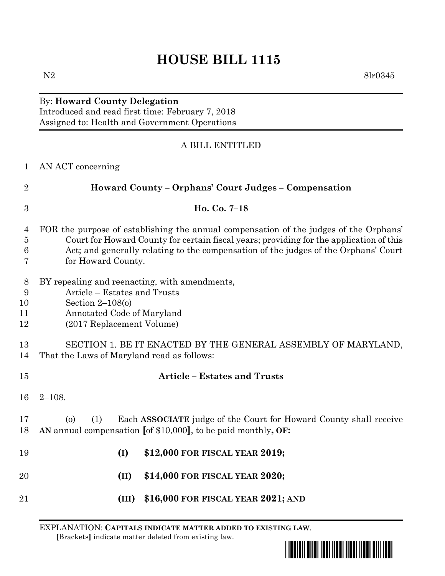## **HOUSE BILL 1115**

## By: **Howard County Delegation**

Introduced and read first time: February 7, 2018 Assigned to: Health and Government Operations

## A BILL ENTITLED

| $\mathbf{1}$                  | AN ACT concerning                                                                                                                                                                                                                                                                             |  |  |  |
|-------------------------------|-----------------------------------------------------------------------------------------------------------------------------------------------------------------------------------------------------------------------------------------------------------------------------------------------|--|--|--|
| $\overline{2}$                | Howard County – Orphans' Court Judges – Compensation                                                                                                                                                                                                                                          |  |  |  |
| 3                             | Ho. Co. 7-18                                                                                                                                                                                                                                                                                  |  |  |  |
| 4<br>$\overline{5}$<br>6<br>7 | FOR the purpose of establishing the annual compensation of the judges of the Orphans'<br>Court for Howard County for certain fiscal years; providing for the application of this<br>Act; and generally relating to the compensation of the judges of the Orphans' Court<br>for Howard County. |  |  |  |
| 8<br>9<br>10<br>11<br>12      | BY repealing and reenacting, with amendments,<br>Article - Estates and Trusts<br>Section $2-108(0)$<br>Annotated Code of Maryland<br>(2017 Replacement Volume)                                                                                                                                |  |  |  |
| 13<br>14                      | SECTION 1. BE IT ENACTED BY THE GENERAL ASSEMBLY OF MARYLAND,<br>That the Laws of Maryland read as follows:                                                                                                                                                                                   |  |  |  |
| 15                            | <b>Article - Estates and Trusts</b>                                                                                                                                                                                                                                                           |  |  |  |
| 16                            | $2 - 108.$                                                                                                                                                                                                                                                                                    |  |  |  |
| 17<br>18                      | Each ASSOCIATE judge of the Court for Howard County shall receive<br>(1)<br>$\circ$<br>AN annual compensation [of \$10,000], to be paid monthly, OF:                                                                                                                                          |  |  |  |
| 19                            | \$12,000 FOR FISCAL YEAR 2019;<br>(I)                                                                                                                                                                                                                                                         |  |  |  |
| 20                            | \$14,000 FOR FISCAL YEAR 2020;<br>$(\text{II})$                                                                                                                                                                                                                                               |  |  |  |
| 21                            | \$16,000 FOR FISCAL YEAR 2021; AND<br>(III)                                                                                                                                                                                                                                                   |  |  |  |

EXPLANATION: **CAPITALS INDICATE MATTER ADDED TO EXISTING LAW**.  **[**Brackets**]** indicate matter deleted from existing law.



N2 8lr0345